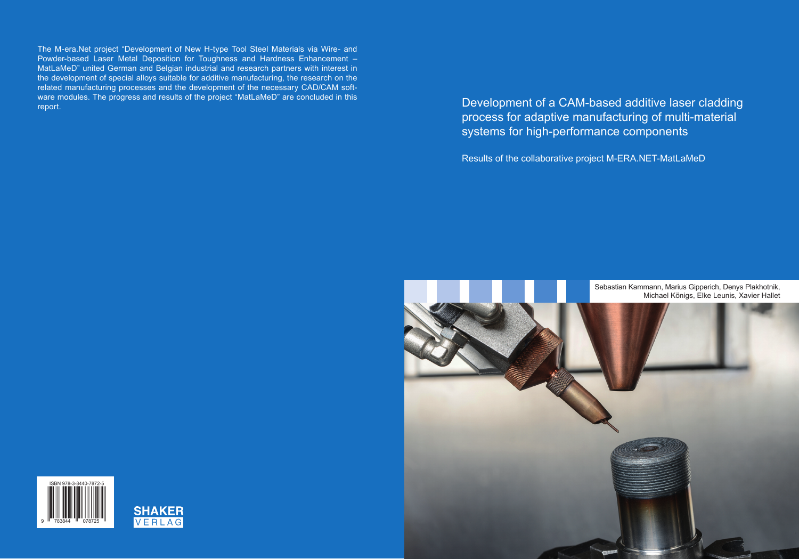Development of a CAM-based additive laser cladding process for adaptive manufacturing of multi-material systems for high-performance components

Results of the collaborative project M-ERA.NET-MatLaMeD

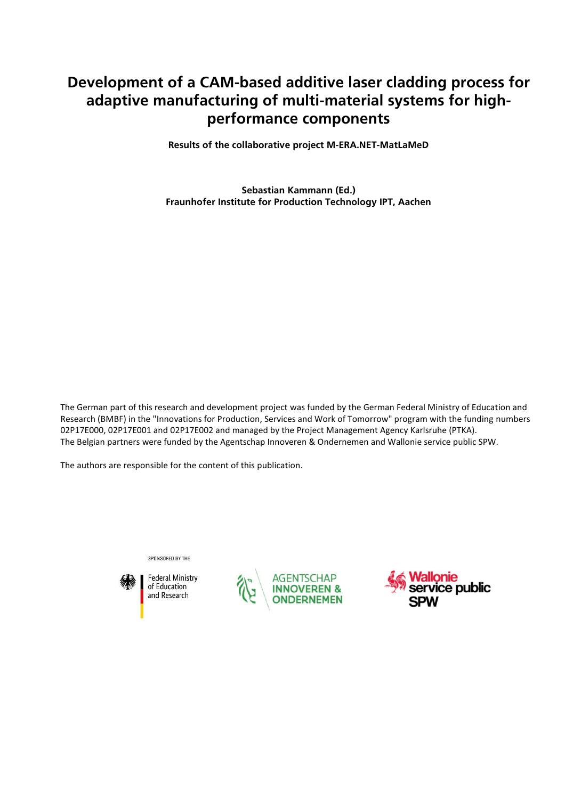### **Development of a CAM-based additive laser cladding process for adaptive manufacturing of multi-material systems for highperformance components**

**Results of the collaborative project M-ERA.NET-MatLaMeD** 

**Sebastian Kammann (Ed.) Fraunhofer Institute for Production Technology IPT, Aachen** 

The German part of this research and development project was funded by the German Federal Ministry of Education and Research (BMBF) in the "Innovations for Production, Services and Work of Tomorrow" program with the funding numbers 02P17E000, 02P17E001 and 02P17E002 and managed by the Project Management Agency Karlsruhe (PTKA). The Belgian partners were funded by the Agentschap Innoveren & Ondernemen and Wallonie service public SPW.

The authors are responsible for the content of this publication.

SPONSORED BY THE



**Federal Ministry** of Education and Research



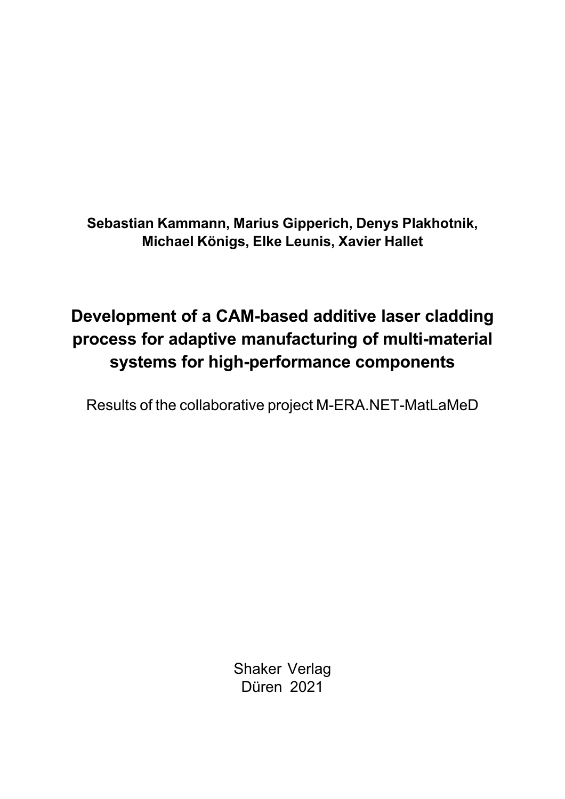**Sebastian Kammann, Marius Gipperich, Denys Plakhotnik, Michael Königs, Elke Leunis, Xavier Hallet**

# **Development of a CAM-based additive laser cladding process for adaptive manufacturing of multi-material systems for high-performance components**

Results of the collaborative project M-ERA.NET-MatLaMeD

Shaker Verlag Düren 2021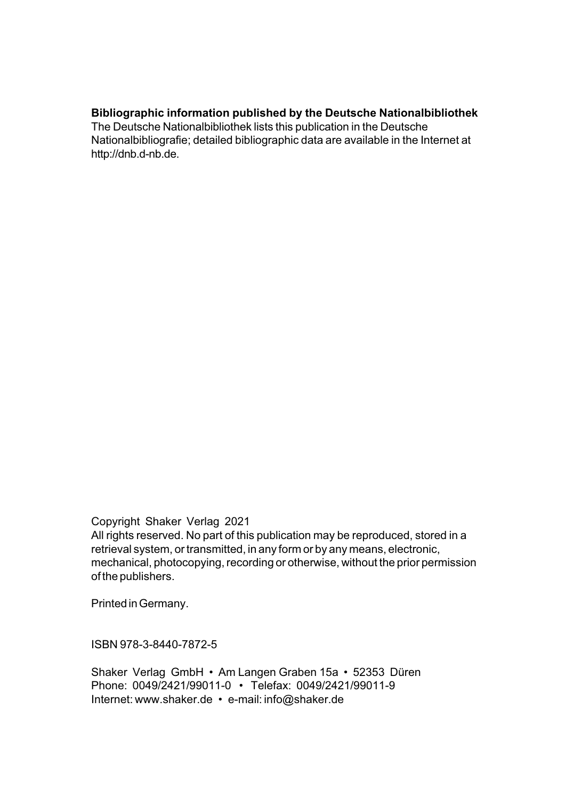#### **Bibliographic information published by the Deutsche Nationalbibliothek**

The Deutsche Nationalbibliothek lists this publication in the Deutsche Nationalbibliografie; detailed bibliographic data are available in the Internet at http://dnb.d-nb.de.

Copyright Shaker Verlag 2021

All rights reserved. No part of this publication may be reproduced, stored in a retrieval system, or transmitted, in any form or by any means, electronic, mechanical, photocopying, recording or otherwise, without the prior permission of the publishers.

Printed in Germany.

ISBN 978-3-8440-7872-5

Shaker Verlag GmbH • Am Langen Graben 15a • 52353 Düren Phone: 0049/2421/99011-0 • Telefax: 0049/2421/99011-9 Internet: www.shaker.de • e-mail: info@shaker.de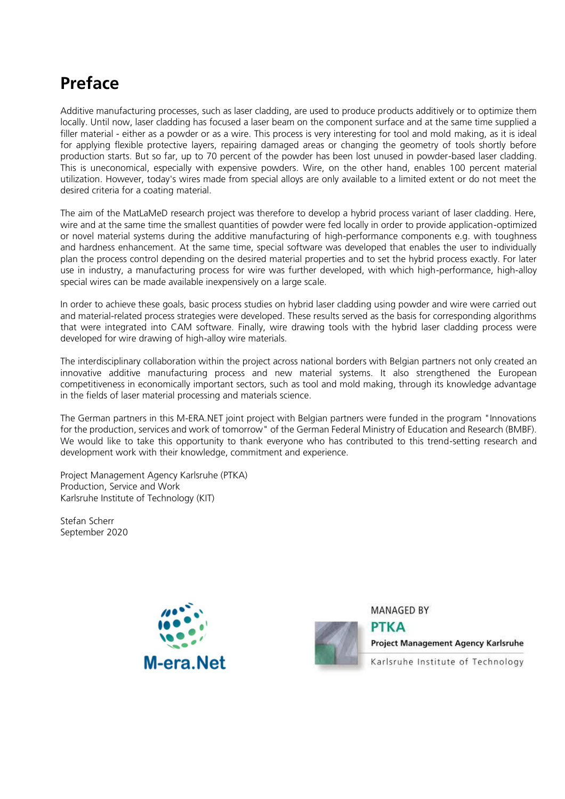## **Preface**

Additive manufacturing processes, such as laser cladding, are used to produce products additively or to optimize them locally. Until now, laser cladding has focused a laser beam on the component surface and at the same time supplied a filler material - either as a powder or as a wire. This process is very interesting for tool and mold making, as it is ideal for applying flexible protective layers, repairing damaged areas or changing the geometry of tools shortly before production starts. But so far, up to 70 percent of the powder has been lost unused in powder-based laser cladding. This is uneconomical, especially with expensive powders. Wire, on the other hand, enables 100 percent material utilization. However, today's wires made from special alloys are only available to a limited extent or do not meet the desired criteria for a coating material.

The aim of the MatLaMeD research project was therefore to develop a hybrid process variant of laser cladding. Here, wire and at the same time the smallest quantities of powder were fed locally in order to provide application-optimized or novel material systems during the additive manufacturing of high-performance components e.g. with toughness and hardness enhancement. At the same time, special software was developed that enables the user to individually plan the process control depending on the desired material properties and to set the hybrid process exactly. For later use in industry, a manufacturing process for wire was further developed, with which high-performance, high-alloy special wires can be made available inexpensively on a large scale.

In order to achieve these goals, basic process studies on hybrid laser cladding using powder and wire were carried out and material-related process strategies were developed. These results served as the basis for corresponding algorithms that were integrated into CAM software. Finally, wire drawing tools with the hybrid laser cladding process were developed for wire drawing of high-alloy wire materials.

The interdisciplinary collaboration within the project across national borders with Belgian partners not only created an innovative additive manufacturing process and new material systems. It also strengthened the European competitiveness in economically important sectors, such as tool and mold making, through its knowledge advantage in the fields of laser material processing and materials science.

The German partners in this M-ERA.NET joint project with Belgian partners were funded in the program "Innovations for the production, services and work of tomorrow" of the German Federal Ministry of Education and Research (BMBF). We would like to take this opportunity to thank everyone who has contributed to this trend-setting research and development work with their knowledge, commitment and experience.

Project Management Agency Karlsruhe (PTKA) Production, Service and Work Karlsruhe Institute of Technology (KIT)

Stefan Scherr September 2020





**MANAGED BY PTKA Project Management Agency Karlsruhe** 

Karlsruhe Institute of Technology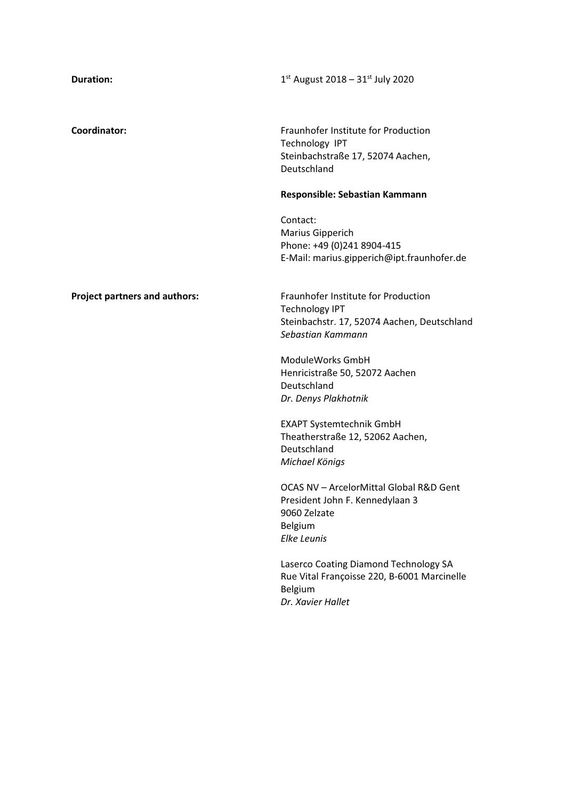| <b>Duration:</b>                     | $1^{st}$ August 2018 – 31st July 2020                                                                                            |
|--------------------------------------|----------------------------------------------------------------------------------------------------------------------------------|
|                                      |                                                                                                                                  |
| <b>Coordinator:</b>                  | Fraunhofer Institute for Production<br>Technology IPT<br>Steinbachstraße 17, 52074 Aachen,<br>Deutschland                        |
|                                      | Responsible: Sebastian Kammann                                                                                                   |
|                                      | Contact:<br>Marius Gipperich<br>Phone: +49 (0)241 8904-415<br>E-Mail: marius.gipperich@ipt.fraunhofer.de                         |
| <b>Project partners and authors:</b> | Fraunhofer Institute for Production<br><b>Technology IPT</b><br>Steinbachstr. 17, 52074 Aachen, Deutschland<br>Sebastian Kammann |
|                                      | ModuleWorks GmbH<br>Henricistraße 50, 52072 Aachen<br>Deutschland<br>Dr. Denys Plakhotnik                                        |
|                                      | <b>EXAPT Systemtechnik GmbH</b><br>Theatherstraße 12, 52062 Aachen,<br>Deutschland<br>Michael Königs                             |
|                                      | OCAS NV - ArcelorMittal Global R&D Gent<br>President John F. Kennedylaan 3<br>9060 Zelzate<br>Belgium<br>Elke Leunis             |
|                                      | Laserco Coating Diamond Technology SA<br>Rue Vital Françoisse 220, B-6001 Marcinelle<br>Belgium<br>Dr. Xavier Hallet             |
|                                      |                                                                                                                                  |